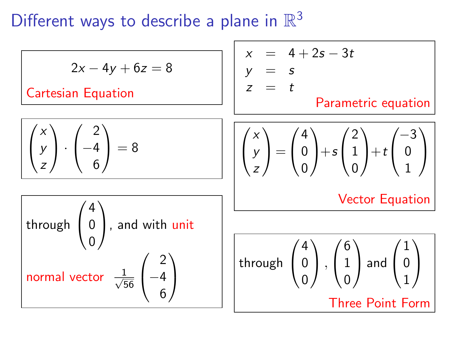Different ways to describe a plane in  $\mathbb{R}^3$ 

| $2x - 4y + 6z = 8$                                                                               | $x = 4 + 2s - 3t$                                                                                                                                                                    |                                                                                                                                                   |  |
|--------------------------------------------------------------------------------------------------|--------------------------------------------------------------------------------------------------------------------------------------------------------------------------------------|---------------------------------------------------------------------------------------------------------------------------------------------------|--|
| $Cartesian Equation$                                                                             | $x = t$                                                                                                                                                                              | $Parametric equation$                                                                                                                             |  |
| $\begin{pmatrix} x \\ y \\ z \end{pmatrix} \cdot \begin{pmatrix} 2 \\ -4 \\ 6 \end{pmatrix} = 8$ | $\begin{pmatrix} x \\ y \\ z \end{pmatrix} = \begin{pmatrix} 4 \\ 0 \\ 0 \end{pmatrix} + s \begin{pmatrix} 2 \\ 1 \\ 0 \end{pmatrix} + t \begin{pmatrix} -3 \\ 0 \\ 1 \end{pmatrix}$ |                                                                                                                                                   |  |
| Htrough $\begin{pmatrix} 4 \\ 0 \\ 0 \end{pmatrix}$ , and with unit                              |                                                                                                                                                                                      |                                                                                                                                                   |  |
| Normal vector $\frac{1}{\sqrt{56}} \begin{pmatrix} 2 \\ -4 \\ 6 \end{pmatrix}$                   |                                                                                                                                                                                      | Through $\begin{pmatrix} 4 \\ 0 \\ 0 \end{pmatrix}$ , $\begin{pmatrix} 6 \\ 1 \\ 0 \end{pmatrix}$ and $\begin{pmatrix} 1 \\ 0 \\ 1 \end{pmatrix}$ |  |
| Three Point Form                                                                                 |                                                                                                                                                                                      |                                                                                                                                                   |  |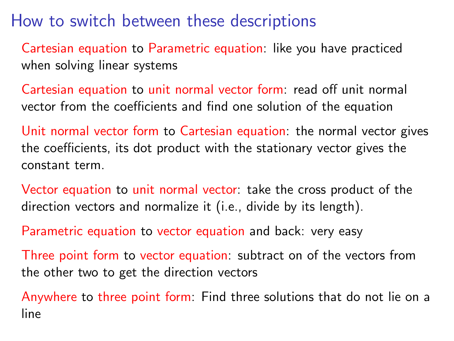How to switch between these descriptions

Cartesian equation to Parametric equation: like you have practiced when solving linear systems

Cartesian equation to unit normal vector form: read off unit normal vector from the coefficients and find one solution of the equation

Unit normal vector form to Cartesian equation: the normal vector gives the coefficients, its dot product with the stationary vector gives the constant term.

Vector equation to unit normal vector: take the cross product of the direction vectors and normalize it (i.e., divide by its length).

Parametric equation to vector equation and back: very easy

Three point form to vector equation: subtract on of the vectors from the other two to get the direction vectors

Anywhere to three point form: Find three solutions that do not lie on a line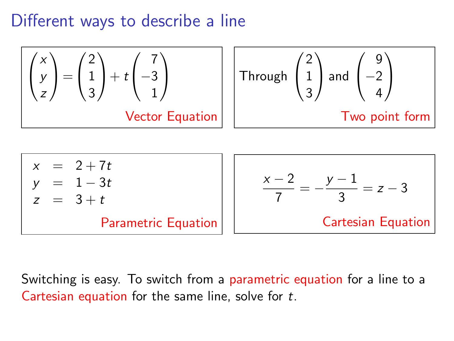## Different ways to describe a line



Switching is easy. To switch from a parametric equation for a line to a Cartesian equation for the same line, solve for t.